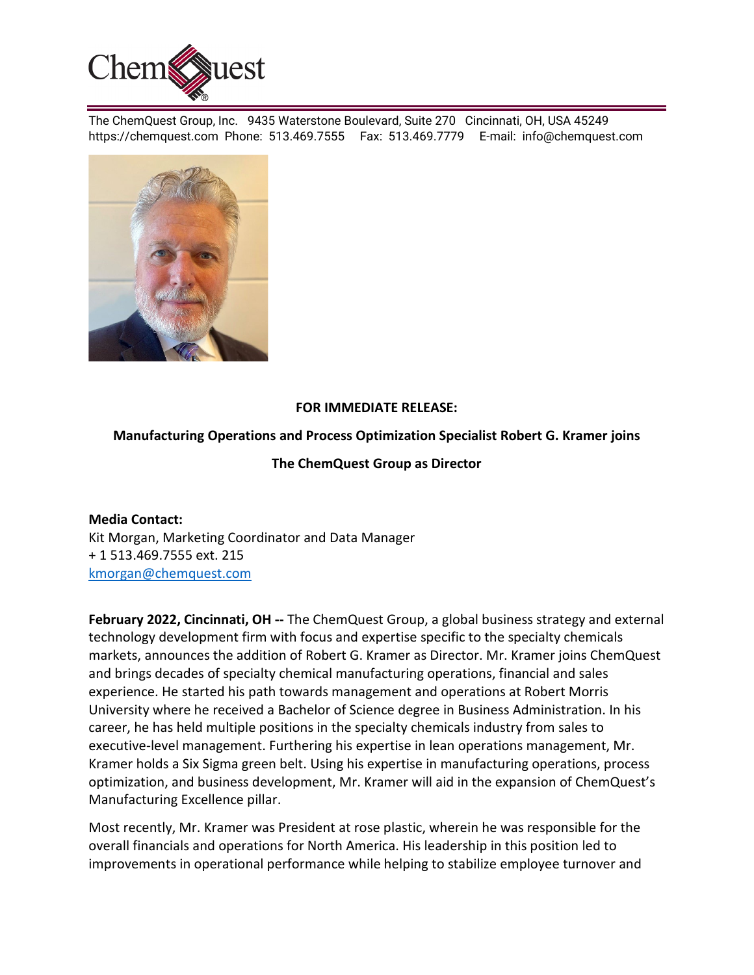

The ChemQuest Group, Inc. 9435 Waterstone Boulevard, Suite 270 Cincinnati, OH, USA 45249 https://chemquest.com Phone: 513.469.7555 Fax: 513.469.7779 E-mail: info@chemquest.com



## **FOR IMMEDIATE RELEASE:**

## **Manufacturing Operations and Process Optimization Specialist Robert G. Kramer joins**

## **The ChemQuest Group as Director**

**Media Contact:** Kit Morgan, Marketing Coordinator and Data Manager + 1 513.469.7555 ext. 215 kmorgan@chemquest.com

**February 2022, Cincinnati, OH --** The ChemQuest Group, a global business strategy and external technology development firm with focus and expertise specific to the specialty chemicals markets, announces the addition of Robert G. Kramer as Director. Mr. Kramer joins ChemQuest and brings decades of specialty chemical manufacturing operations, financial and sales experience. He started his path towards management and operations at Robert Morris University where he received a Bachelor of Science degree in Business Administration. In his career, he has held multiple positions in the specialty chemicals industry from sales to executive-level management. Furthering his expertise in lean operations management, Mr. Kramer holds a Six Sigma green belt. Using his expertise in manufacturing operations, process optimization, and business development, Mr. Kramer will aid in the expansion of ChemQuest's Manufacturing Excellence pillar.

Most recently, Mr. Kramer was President at rose plastic, wherein he was responsible for the overall financials and operations for North America. His leadership in this position led to improvements in operational performance while helping to stabilize employee turnover and